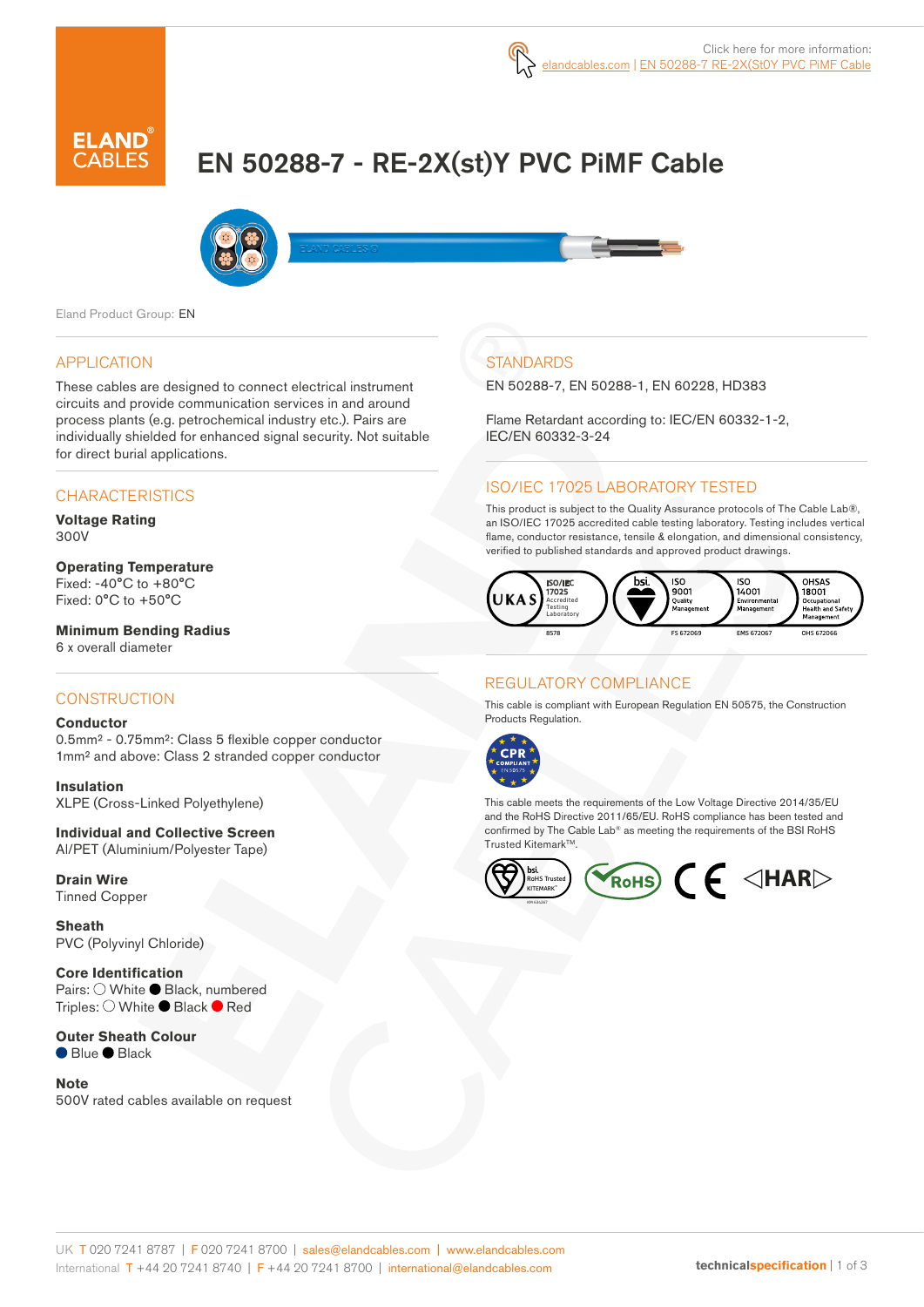

# EN 50288-7 - RE-2X(st)Y PVC PiMF Cable



Eland Product Group: EN

#### APPLICATION

These cables are designed to connect electrical instrument circuits and provide communication services in and around process plants (e.g. petrochemical industry etc.). Pairs are individually shielded for enhanced signal security. Not suitable for direct burial applications.

## **CHARACTERISTICS**

**Voltage Rating**  300V

## **Operating Temperature** Fixed: -40°C to +80°C

Fixed: 0°C to +50°C

**Minimum Bending Radius** 6 x overall diameter

#### **CONSTRUCTION**

#### **Conductor**

0.5mm² - 0.75mm²: Class 5 flexible copper conductor 1mm² and above: Class 2 stranded copper conductor

**Insulation** XLPE (Cross-Linked Polyethylene)

**Individual and Collective Screen** Al/PET (Aluminium/Polyester Tape)

**Drain Wire** Tinned Copper

**Sheath** PVC (Polyvinyl Chloride)

**Core Identification** Pairs: ○ White ● Black, numbered Triples: ○ White ● Black ● Red

**Outer Sheath Colour** ● Blue ● Black

**Note** 500V rated cables available on request

## **STANDARDS**

EN 50288-7, EN 50288-1, EN 60228, HD383

Flame Retardant according to: IEC/EN 60332-1-2, IEC/EN 60332-3-24

## ISO/IEC 17025 LABORATORY TESTED

This product is subject to the Quality Assurance protocols of The Cable Lab®, an ISO/IEC 17025 accredited cable testing laboratory. Testing includes vertical flame, conductor resistance, tensile & elongation, and dimensional consistency, verified to published standards and approved product drawings.



### REGULATORY COMPLIANCE

This cable is compliant with European Regulation EN 50575, the Construction Products Regulation.



This cable meets the requirements of the Low Voltage Directive 2014/35/EU and the RoHS Directive 2011/65/EU. RoHS compliance has been tested and confirmed by The Cable Lab® as meeting the requirements of the BSI RoHS Trusted KitemarkTM.



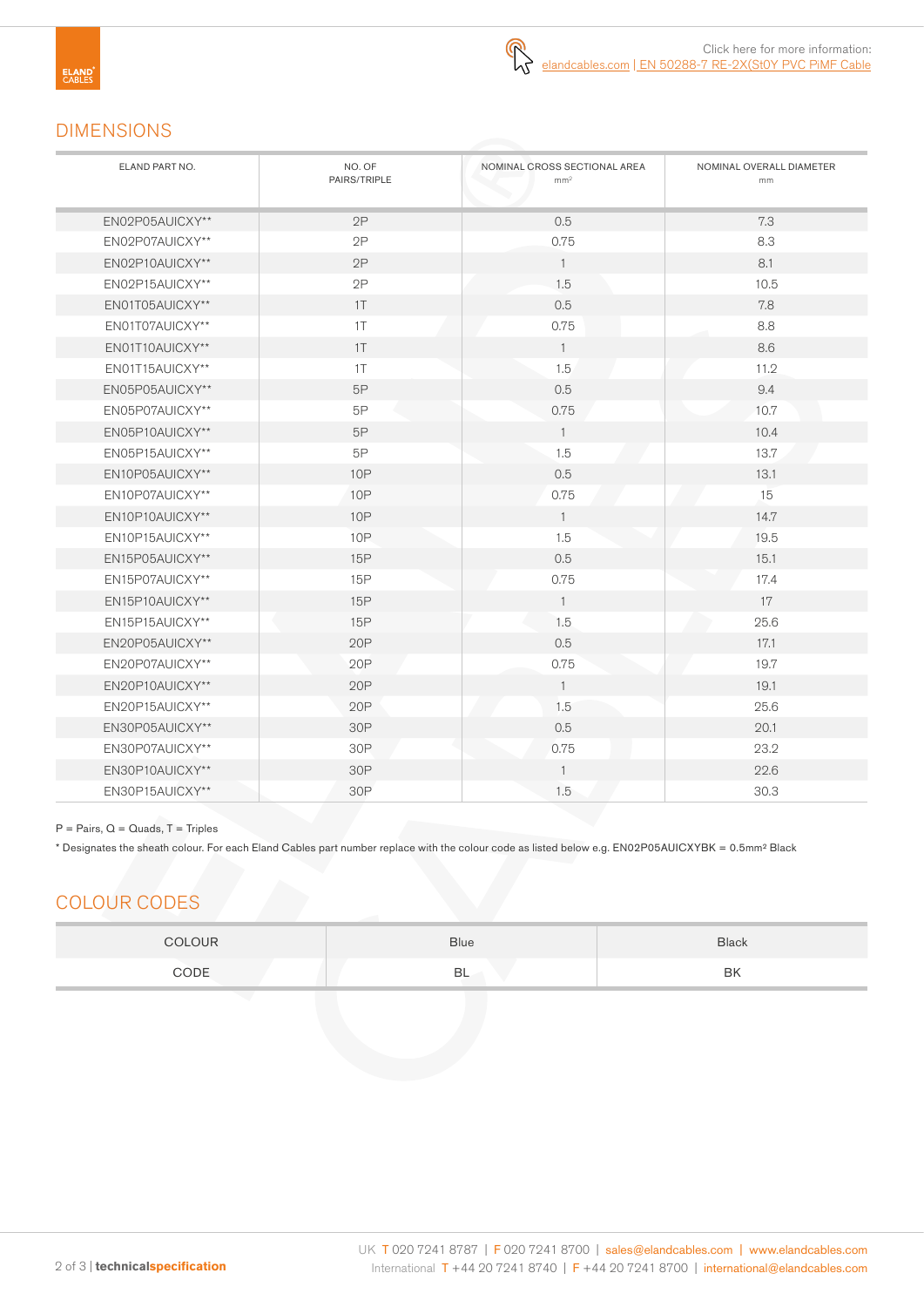# DIMENSIONS

| ELAND PART NO.  | NO. OF<br>PAIRS/TRIPLE | NOMINAL CROSS SECTIONAL AREA<br>mm <sup>2</sup> | NOMINAL OVERALL DIAMETER<br>mm |
|-----------------|------------------------|-------------------------------------------------|--------------------------------|
| EN02P05AUICXY** | 2P                     | 0.5                                             | 7.3                            |
| EN02P07AUICXY** | 2P                     | 0.75                                            | 8.3                            |
| EN02P10AUICXY** | 2P                     | $\overline{1}$                                  | 8.1                            |
| EN02P15AUICXY** | 2P                     | 1.5                                             | 10.5                           |
| EN01T05AUICXY** | 1T                     | 0.5                                             | 7.8                            |
| EN01T07AUICXY** | 1T                     | 0.75                                            | 8.8                            |
| EN01T10AUICXY** | 1T                     | $\overline{1}$                                  | 8.6                            |
| EN01T15AUICXY** | 1T                     | 1.5                                             | 11.2                           |
| EN05P05AUICXY** | 5P                     | 0.5                                             | 9.4                            |
| EN05P07AUICXY** | 5P                     | 0.75                                            | 10.7                           |
| EN05P10AUICXY** | 5P                     | $\mathbf{1}$                                    | 10.4                           |
| EN05P15AUICXY** | 5P                     | 1.5                                             | 13.7                           |
| EN10P05AUICXY** | <b>10P</b>             | 0.5                                             | 13.1                           |
| EN10P07AUICXY** | <b>10P</b>             | 0.75                                            | 15                             |
| EN10P10AUICXY** | <b>10P</b>             | $\overline{1}$                                  | 14.7                           |
| EN10P15AUICXY** | <b>10P</b>             | 1.5                                             | 19.5                           |
| EN15P05AUICXY** | 15P                    | 0.5                                             | 15.1                           |
| EN15P07AUICXY** | 15P                    | 0.75                                            | 17.4                           |
| EN15P10AUICXY** | 15P                    | $\overline{1}$                                  | 17                             |
| EN15P15AUICXY** | 15P                    | 1.5                                             | 25.6                           |
| EN20P05AUICXY** | 20P                    | 0.5                                             | 17.1                           |
| EN20P07AUICXY** | 20P                    | 0.75                                            | 19.7                           |
| EN20P10AUICXY** | 20P                    | $\overline{1}$                                  | 19.1                           |
| EN20P15AUICXY** | 20P                    | 1.5                                             | 25.6                           |
| EN30P05AUICXY** | 30P                    | 0.5                                             | 20.1                           |
| EN30P07AUICXY** | 30P                    | 0.75                                            | 23.2                           |
| EN30P10AUICXY** | 30P                    | $\overline{1}$                                  | 22.6                           |
| EN30P15AUICXY** | 30P                    | 1.5                                             | 30.3                           |

#### $P = \text{Pairs}, Q = \text{Quads}, T = \text{Triples}$

\* Designates the sheath colour. For each Eland Cables part number replace with the colour code as listed below e.g. EN02P05AUICXYBK = 0.5mm² Black

# COLOUR CODES

| <b>OLOUR</b> | Blue | <b>Black</b> |
|--------------|------|--------------|
| CODE         | BL   | BK           |